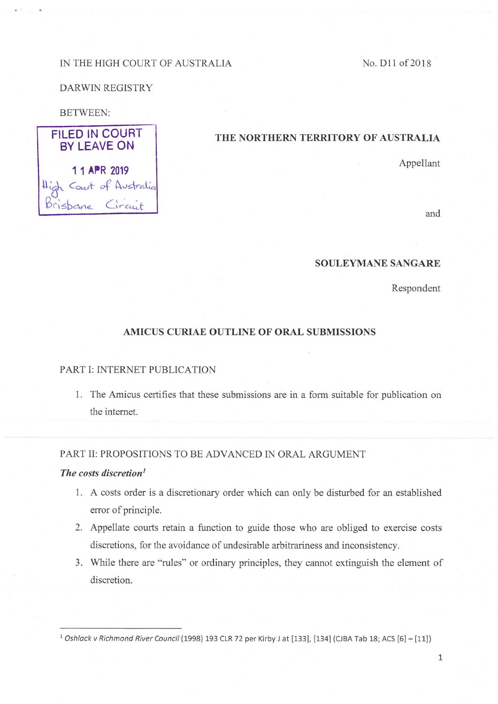## IN THE HIGH COURT OF AUSTRALIA

No. D11 of 2018

### DARWIN REGISTRY

 $C_{\text{out}}$  of Australia

 $bcne$  *Circuit* 

#### BETWEEN:

FILED IN COURT BY LEAVE ON

# **THE NORTHERN TERRITORY OF AUSTRALIA**

11 APR 2019

and

#### **SOULEYMANESANGARE**

Respondent

## **AMICUS CURIAE OUTLINE OF ORAL SUBMISSIONS**

#### PART I: INTERNET PUBLICATION

1. The Amicus certifies that these submissions are in a form suitable for publication on the internet.

### PART II: PROPOSITIONS TO BE ADVANCED IN ORAL ARGUMENT

### *The costs discretion***<sup>1</sup>**

- 1. A costs order is a discretionary order which can only be disturbed for an established error of principle.
- 2. Appellate courts retain a function to guide those who are obliged to exercise costs discretions, for the avoidance of undesirable arbitrariness and inconsistency.
- 3. While there are "rules" or ordinary principles, they cannot extinguish the element of discretion.

<sup>1</sup> Oshlack v Richmond River Council (1998) 193 CLR 72 per Kirby J at [133], [134] (CJBA Tab 18; ACS [6] - [11])